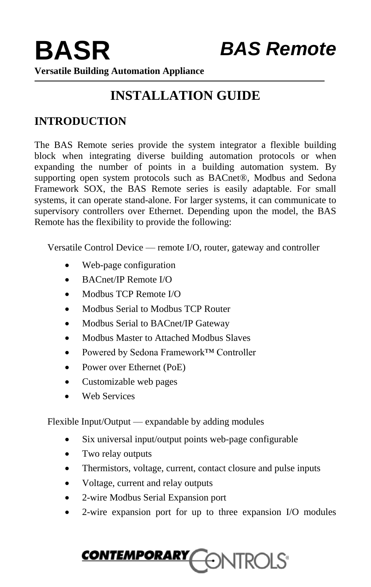# **INSTALLATION GUIDE**

## **INTRODUCTION**

The BAS Remote series provide the system integrator a flexible building block when integrating diverse building automation protocols or when expanding the number of points in a building automation system. By supporting open system protocols such as BACnet®, Modbus and Sedona Framework SOX, the BAS Remote series is easily adaptable. For small systems, it can operate stand-alone. For larger systems, it can communicate to supervisory controllers over Ethernet. Depending upon the model, the BAS Remote has the flexibility to provide the following:

Versatile Control Device — remote I/O, router, gateway and controller

- Web-page configuration
- BACnet/IP Remote I/O
- Modbus TCP Remote I/O
- Modbus Serial to Modbus TCP Router
- Modbus Serial to BACnet/IP Gateway
- Modbus Master to Attached Modbus Slaves
- Powered by Sedona Framework™ Controller
- Power over Ethernet (PoE)
- Customizable web pages
- Web Services

Flexible Input/Output — expandable by adding modules

- Six universal input/output points web-page configurable
- Two relay outputs
- Thermistors, voltage, current, contact closure and pulse inputs
- Voltage, current and relay outputs
- 2-wire Modbus Serial Expansion port
- 2-wire expansion port for up to three expansion I/O modules

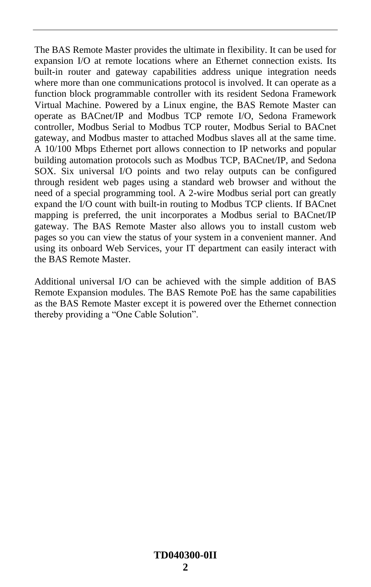The BAS Remote Master provides the ultimate in flexibility. It can be used for expansion I/O at remote locations where an Ethernet connection exists. Its built-in router and gateway capabilities address unique integration needs where more than one communications protocol is involved. It can operate as a function block programmable controller with its resident Sedona Framework Virtual Machine. Powered by a Linux engine, the BAS Remote Master can operate as BACnet/IP and Modbus TCP remote I/O, Sedona Framework controller, Modbus Serial to Modbus TCP router, Modbus Serial to BACnet gateway, and Modbus master to attached Modbus slaves all at the same time. A 10/100 Mbps Ethernet port allows connection to IP networks and popular building automation protocols such as Modbus TCP, BACnet/IP, and Sedona SOX. Six universal I/O points and two relay outputs can be configured through resident web pages using a standard web browser and without the need of a special programming tool. A 2-wire Modbus serial port can greatly expand the I/O count with built-in routing to Modbus TCP clients. If BACnet mapping is preferred, the unit incorporates a Modbus serial to BACnet/IP gateway. The BAS Remote Master also allows you to install custom web pages so you can view the status of your system in a convenient manner. And using its onboard Web Services, your IT department can easily interact with the BAS Remote Master.

Additional universal I/O can be achieved with the simple addition of BAS Remote Expansion modules. The BAS Remote PoE has the same capabilities as the BAS Remote Master except it is powered over the Ethernet connection thereby providing a "One Cable Solution".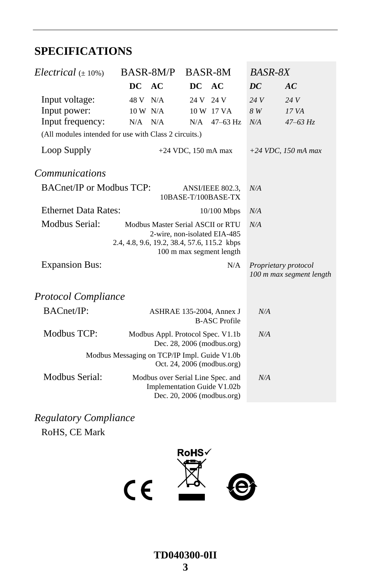## **SPECIFICATIONS**

| Electrical $(\pm 10\%)$                               | BASR-8M/P                                                                        | BASR-8M               |                                                          | <b>BASR-8X</b> |                                                  |
|-------------------------------------------------------|----------------------------------------------------------------------------------|-----------------------|----------------------------------------------------------|----------------|--------------------------------------------------|
|                                                       | DC AC                                                                            | DC AC                 |                                                          | DC             | AC                                               |
| Input voltage:                                        | 48 V N/A                                                                         |                       | 24 V 24 V                                                | 24V            | 24V                                              |
| Input power:                                          | 10 W N/A                                                                         |                       | 10 W 17 VA                                               | 8 W            | 17 VA                                            |
| Input frequency:                                      | N/A<br>N/A                                                                       | N/A                   | $47 - 63$ Hz                                             | N/A            | $47 - 63$ Hz                                     |
| (All modules intended for use with Class 2 circuits.) |                                                                                  |                       |                                                          |                |                                                  |
| Loop Supply                                           |                                                                                  | $+24$ VDC, 150 mA max |                                                          |                | $+24$ VDC, 150 mA max                            |
| <i>Communications</i>                                 |                                                                                  |                       |                                                          |                |                                                  |
| <b>BACnet/IP or Modbus TCP:</b>                       |                                                                                  |                       | ANSI/IEEE 802.3,<br>10BASE-T/100BASE-TX                  | N/A            |                                                  |
| <b>Ethernet Data Rates:</b>                           |                                                                                  |                       | $10/100$ Mbps                                            | N/A            |                                                  |
| Modbus Serial:                                        | Modbus Master Serial ASCII or RTU<br>2.4, 4.8, 9.6, 19.2, 38.4, 57.6, 115.2 kbps |                       | 2-wire, non-isolated EIA-485<br>100 m max segment length | N/A            |                                                  |
| <b>Expansion Bus:</b>                                 |                                                                                  |                       | N/A                                                      |                | Proprietary protocol<br>100 m max segment length |
| <b>Protocol Compliance</b>                            |                                                                                  |                       |                                                          |                |                                                  |
| <b>BACnet/IP:</b>                                     |                                                                                  |                       | ASHRAE 135-2004, Annex J<br><b>B-ASC Profile</b>         | N/A            |                                                  |
| Modbus TCP:                                           | Modbus Appl. Protocol Spec. V1.1b                                                |                       | Dec. 28, 2006 (modbus.org)                               | N/A            |                                                  |
|                                                       | Modbus Messaging on TCP/IP Impl. Guide V1.0b                                     |                       | Oct. 24, 2006 (modbus.org)                               |                |                                                  |
| Modbus Serial:                                        | Modbus over Serial Line Spec. and<br>Implementation Guide V1.02b                 |                       | Dec. 20, 2006 (modbus.org)                               | N/A            |                                                  |

*Regulatory Compliance* RoHS, CE Mark

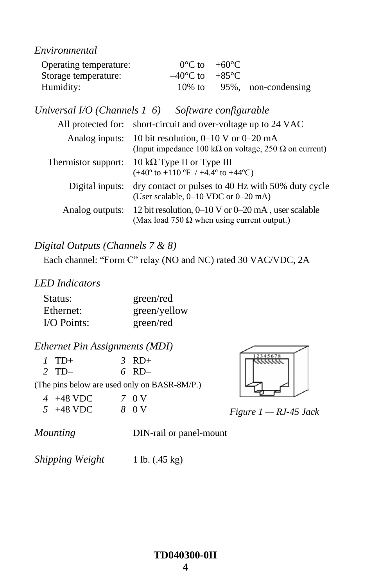*Environmental*

| Operating temperature: | $0^{\circ}$ C to $+60^{\circ}$ C   |                            |
|------------------------|------------------------------------|----------------------------|
| Storage temperature:   | $-40^{\circ}$ C to $+85^{\circ}$ C |                            |
| Humidity:              |                                    | 10% to 95%, non-condensing |

*Universal I/O (Channels 1–6) — Software configurable*

| All protected for:  | short-circuit and over-voltage up to 24 VAC                                                                      |
|---------------------|------------------------------------------------------------------------------------------------------------------|
| Analog inputs:      | 10 bit resolution, $0-10$ V or $0-20$ mA<br>(Input impedance 100 k $\Omega$ on voltage, 250 $\Omega$ on current) |
| Thermistor support: | 10 k $\Omega$ Type II or Type III<br>$(+40^{\circ}$ to $+110^{\circ}$ F / $+4.4^{\circ}$ to $+44^{\circ}$ C)     |
| Digital inputs:     | dry contact or pulses to 40 Hz with 50% duty cycle<br>(User scalable, 0-10 VDC or 0-20 mA)                       |
| Analog outputs:     | 12 bit resolution, $0-10$ V or $0-20$ mA, user scalable<br>(Max load 750 $\Omega$ when using current output.)    |

### *Digital Outputs (Channels 7 & 8)*

Each channel: "Form C" relay (NO and NC) rated 30 VAC/VDC, 2A

### *LED Indicators*

| Status:       | green/red    |
|---------------|--------------|
| Ethernet:     | green/yellow |
| $I/O$ Points: | green/red    |

### *Ethernet Pin Assignments (MDI)*

| $1$ TD+ | $\beta$ RD+ |
|---------|-------------|
| $2$ TD- | $6$ RD $-$  |

(The pins below are used only on BASR-8M/P.)

| $4+48$ VDC  | 7 0 V |
|-------------|-------|
| $5 +48$ VDC | 8 0 V |



*Figure 1 — RJ-45 Jack*

*Mounting* **DIN-rail or panel-mount** 

*Shipping Weight* 1 lb. (.45 kg)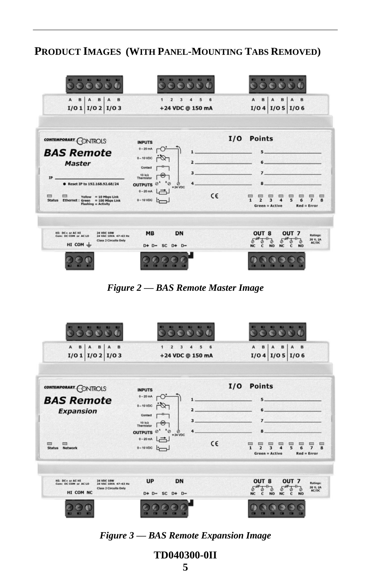### **PRODUCT IMAGES (WITH PANEL-MOUNTING TABS REMOVED)**

| A<br>B<br>B<br>B<br>A<br>I/O 1   I/O 2   I/O 3                                                                                                                                                                              | $\overline{\mathbf{z}}$<br>$\mathbf{a}$<br>5<br>6<br>+24 VDC @ 150 mA                                                                                                                                                      | А<br>B<br>B<br>B<br>I/O 4   I/O 5   I/O 6                                                                                                                                                                              |
|-----------------------------------------------------------------------------------------------------------------------------------------------------------------------------------------------------------------------------|----------------------------------------------------------------------------------------------------------------------------------------------------------------------------------------------------------------------------|------------------------------------------------------------------------------------------------------------------------------------------------------------------------------------------------------------------------|
| CONTEMPORARY CONTROLS<br><b>BAS Remote</b><br><b>Master</b><br>IP<br>● Reset IP to 192.168.92.68/24<br>▭<br>▭<br>$Yellow = 10 Mbps$ Link<br><b>Status</b><br>Ethernet : Green = 100 Mbps Link<br><b>Flashing = Activity</b> | <b>INPUTS</b><br>$0 - 20$ mA<br>$0 - 10$ VDC<br>Contact<br>3<br>10 kg<br>Thermistor<br>$\overline{\phantom{a}}\circ$<br>4<br>OUTPUTS <sup>@^</sup><br>ø<br>$+24$ VDC<br>$0 - 20 \, \text{mA}$<br>$-$<br>C€<br>$0 - 10 VDC$ | <b>Points</b><br>I/O<br>5 <sup>1</sup><br>6<br>$7-$<br>8<br>▭<br>▭<br>5<br>$\overline{ }$<br>$\overline{\mathbf{z}}$<br>6<br>$\mathbf{1}$<br>$\overline{ }$<br>8<br>$\Delta$<br><b>Green = Active</b><br>$Red = Error$ |
| HI: DC+ or AC HI<br><b>24 VDC 10W</b><br>Com: DC COM or AC LO<br>24 VAC 10VA 47-63 Hz<br><b>Class 2 Circuits Only</b><br>HI COM $\pm$                                                                                       | <b>MB</b><br>DN<br>$D+ D = SC D + D -$                                                                                                                                                                                     | OUT <sub>8</sub><br>OUT <sub>7</sub><br>Ratings:<br>30 V, 2A<br>Ø<br>AC/DC<br><b>NO</b><br>c<br><b>NC</b><br>c<br><b>NO</b><br><b>NC</b>                                                                               |

*Figure 2 — BAS Remote Master Image*

| $\mathbf{B}$<br>$\mathbf{B}$<br>$\mathbf{A}$<br>B<br>$\mathbf{A}$<br>$\mathbf A$<br>$I/O 1$ $I/O 2$ $I/O 3$                 | $\overline{\mathbf{z}}$<br>3<br>5<br>6<br>4<br>1<br>+24 VDC @ 150 mA                                                                                                        | $\mathbf{B}$<br>$\mathbf B$<br>B<br>$\mathbf{A}$<br>A<br>A<br>I/O 4   I/O 5   I/O 6                                                                  |
|-----------------------------------------------------------------------------------------------------------------------------|-----------------------------------------------------------------------------------------------------------------------------------------------------------------------------|------------------------------------------------------------------------------------------------------------------------------------------------------|
| CONTEMPORARY CONTROLS<br><b>BAS Remote</b><br><b>Expansion</b>                                                              | <b>INPUTS</b><br>$0 - 20$ mA<br>$\mathbf{1}$<br>$0-10$ VDC<br>$\overline{a}$<br>Contact<br>з<br>10 k $\Omega$<br>Thermistor<br>OUTPUTS <sup>@^</sup><br>4<br>Ø<br>$+24$ VDC | <b>Points</b><br>I/O<br>$5 -$<br>$6 -$<br>$7 -$<br>8                                                                                                 |
| ▬<br>▭<br><b>Status</b><br><b>Network</b>                                                                                   | $0-20mA$<br>一<br>C€<br>$0-10 VDC$                                                                                                                                           | $\mathbf{1}$<br>5<br>$\overline{ }$<br>$\overline{ }$<br>$\overline{\mathbf{3}}$<br>R<br>6<br><b>Green = Active</b><br>$Red = Error$                 |
| HI: DC+ or AC HI<br>24 VDC 10W<br>Com: DC COM or AC LO<br>24 VAC 10VA 47-63 Hz<br><b>Class 2 Circuits Only</b><br>HI COM NC | DN<br><b>UP</b><br>$D+ D- SC D+ D-$                                                                                                                                         | OUT <sub>8</sub><br>OUT <sub>7</sub><br><b>Ratings:</b><br>30 V. 2A<br>Ø<br>AC/DC<br><b>NO</b><br><b>NC</b><br>NC.<br>c<br>$\mathbf{c}$<br><b>NO</b> |
|                                                                                                                             |                                                                                                                                                                             |                                                                                                                                                      |

*Figure 3 — BAS Remote Expansion Image*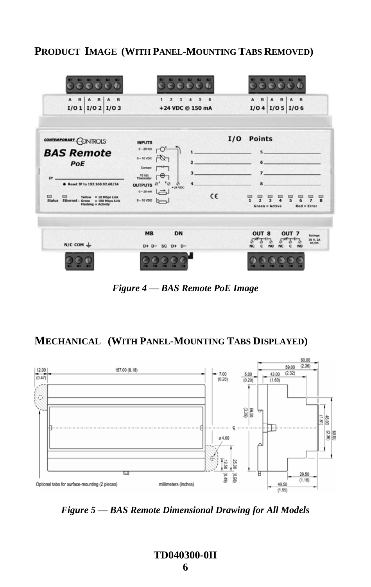### **PRODUCT IMAGE (WITH PANEL-MOUNTING TABS REMOVED)**

| A<br>B<br>B<br>B<br>I/O 1   I/O 2   I/O 3                                                                                           | 5<br>£<br>з<br>+24 VDC @ 150 mA                                                                                                                                                                                   | $\mathbf{B}$<br>A<br>в<br>B<br>I/O 4   I/O 5   I/O 6                                                                                                                                                                                           |
|-------------------------------------------------------------------------------------------------------------------------------------|-------------------------------------------------------------------------------------------------------------------------------------------------------------------------------------------------------------------|------------------------------------------------------------------------------------------------------------------------------------------------------------------------------------------------------------------------------------------------|
| CONTEMPORARY CONTROLS<br><b>BAS Remote</b><br>PoE<br>IP<br>● Reset IP to 192.168.92.68/24<br>▭<br>▭<br><b>Yellow = 10 Mbps Link</b> | <b>INPUTS</b><br>$0 - 20$ mA<br>O<br>1<br>$0-10$ VDC<br>$\overline{2}$<br>Contact<br>3.<br>$10 k\Omega$<br>Thermistor<br>$^*$ ø<br>OUTPUTS <sup>Ø<sup>*</sup></sup><br>4<br>Ø<br>+ 24 VDC<br>0-20 mA $\Box$<br>C€ | <b>Points</b><br>I/O<br>$5 -$<br>$7-$<br>8                                                                                                                                                                                                     |
| <b>Status</b><br>Ethernet: Green = 100 Mbps Link<br><b>Flashing = Activity</b><br>$N/C$ COM $\perp$                                 | $0 - 10 VDC$<br>DN<br><b>MB</b><br>$D+ D- SC D+ D-$                                                                                                                                                               | $\mathbf{1}$<br>э<br>R<br>5<br>$\overline{\phantom{a}}$<br>R<br><b>Green = Active</b><br>$Red = Error$<br>OUT <sub>8</sub><br>OUT <sub>7</sub><br><b>Ratings:</b><br>30 V. 2A<br><b>AC/DC</b><br><b>NO</b><br><b>NC</b><br>c<br>с<br><b>NO</b> |
|                                                                                                                                     |                                                                                                                                                                                                                   |                                                                                                                                                                                                                                                |

*Figure 4 — BAS Remote PoE Image*

### **MECHANICAL (WITH PANEL-MOUNTING TABS DISPLAYED)**



<span id="page-5-0"></span>*Figure 5 — BAS Remote Dimensional Drawing for All Models*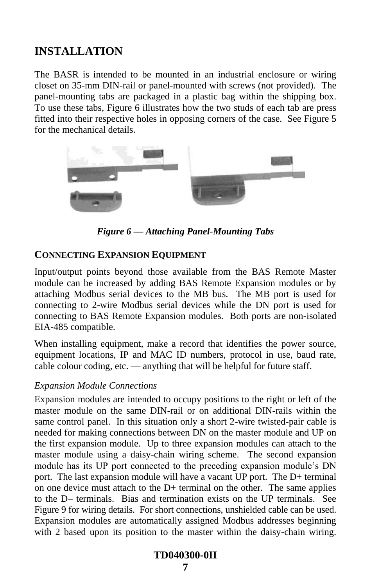### **INSTALLATION**

The BASR is intended to be mounted in an industrial enclosure or wiring closet on 35-mm DIN-rail or panel-mounted with screws (not provided). The panel-mounting tabs are packaged in a plastic bag within the shipping box. To use these tabs, [Figure 6](#page-6-0) illustrates how the two studs of each tab are press fitted into their respective holes in opposing corners of the case. See [Figure 5](#page-5-0) for the mechanical details.



*Figure 6 — Attaching Panel-Mounting Tabs*

#### <span id="page-6-0"></span>**CONNECTING EXPANSION EQUIPMENT**

Input/output points beyond those available from the BAS Remote Master module can be increased by adding BAS Remote Expansion modules or by attaching Modbus serial devices to the MB bus. The MB port is used for connecting to 2-wire Modbus serial devices while the DN port is used for connecting to BAS Remote Expansion modules. Both ports are non-isolated EIA-485 compatible.

When installing equipment, make a record that identifies the power source, equipment locations, IP and MAC ID numbers, protocol in use, baud rate, cable colour coding, etc. — anything that will be helpful for future staff.

#### *Expansion Module Connections*

Expansion modules are intended to occupy positions to the right or left of the master module on the same DIN-rail or on additional DIN-rails within the same control panel. In this situation only a short 2-wire twisted-pair cable is needed for making connections between DN on the master module and UP on the first expansion module. Up to three expansion modules can attach to the master module using a daisy-chain wiring scheme. The second expansion module has its UP port connected to the preceding expansion module's DN port. The last expansion module will have a vacant UP port. The D+ terminal on one device must attach to the D+ terminal on the other. The same applies to the D– terminals. Bias and termination exists on the UP terminals. See [Figure 9](#page-11-0) for wiring details. For short connections, unshielded cable can be used. Expansion modules are automatically assigned Modbus addresses beginning with 2 based upon its position to the master within the daisy-chain wiring.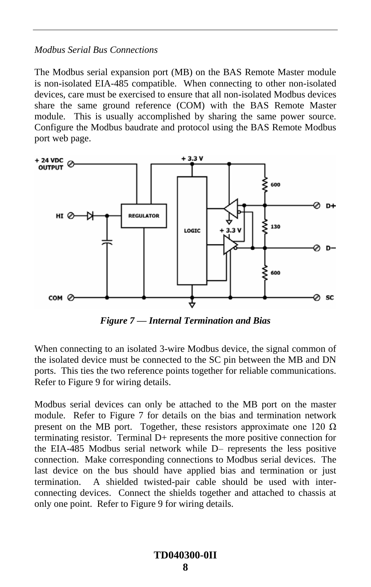#### *Modbus Serial Bus Connections*

The Modbus serial expansion port (MB) on the BAS Remote Master module is non-isolated EIA-485 compatible. When connecting to other non-isolated devices, care must be exercised to ensure that all non-isolated Modbus devices share the same ground reference (COM) with the BAS Remote Master module. This is usually accomplished by sharing the same power source. Configure the Modbus baudrate and protocol using the BAS Remote Modbus port web page.



*Figure 7 — Internal Termination and Bias*

<span id="page-7-0"></span>When connecting to an isolated 3-wire Modbus device, the signal common of the isolated device must be connected to the SC pin between the MB and DN ports. This ties the two reference points together for reliable communications. Refer to [Figure 9](#page-11-0) for wiring details.

Modbus serial devices can only be attached to the MB port on the master module. Refer to [Figure 7](#page-7-0) for details on the bias and termination network present on the MB port. Together, these resistors approximate one 120  $\Omega$ terminating resistor. Terminal D+ represents the more positive connection for the EIA-485 Modbus serial network while D– represents the less positive connection. Make corresponding connections to Modbus serial devices. The last device on the bus should have applied bias and termination or just termination. A shielded twisted-pair cable should be used with interconnecting devices. Connect the shields together and attached to chassis at only one point. Refer to [Figure 9](#page-11-0) for wiring details.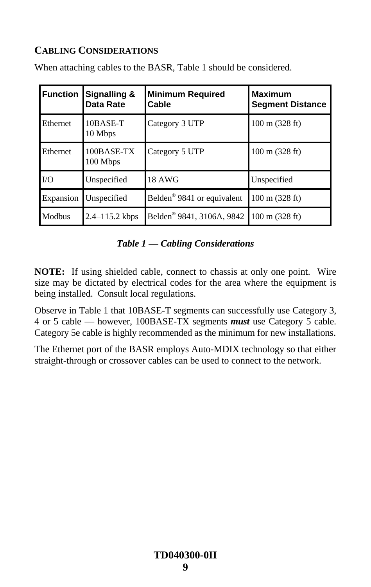### **CABLING CONSIDERATIONS**

| <b>Function</b> | Signalling &<br>Data Rate | <b>Minimum Required</b><br>Cable       | <b>Maximum</b><br><b>Segment Distance</b> |
|-----------------|---------------------------|----------------------------------------|-------------------------------------------|
| Ethernet        | 10BASE-T<br>10 Mbps       | Category 3 UTP                         | $100 \text{ m}$ (328 ft)                  |
| Ethernet        | $100$ BASE-TX<br>100 Mbps | Category 5 UTP                         | $100 \text{ m}$ (328 ft)                  |
| $\rm LO$        | Unspecified               | 18 AWG                                 | Unspecified                               |
| Expansion       | Unspecified               | Belden <sup>®</sup> 9841 or equivalent | $100 \text{ m}$ (328 ft)                  |
| Modbus          | $2.4 - 115.2$ kbps        | Belden <sup>®</sup> 9841, 3106A, 9842  | $100 \text{ m}$ (328 ft)                  |

When attaching cables to the BASR, Table 1 should be considered.

### *Table 1 — Cabling Considerations*

**NOTE:** If using shielded cable, connect to chassis at only one point. Wire size may be dictated by electrical codes for the area where the equipment is being installed. Consult local regulations.

Observe in Table 1 that 10BASE-T segments can successfully use Category 3, 4 or 5 cable — however, 100BASE-TX segments *must* use Category 5 cable. Category 5e cable is highly recommended as the minimum for new installations.

The Ethernet port of the BASR employs Auto-MDIX technology so that either straight-through or crossover cables can be used to connect to the network.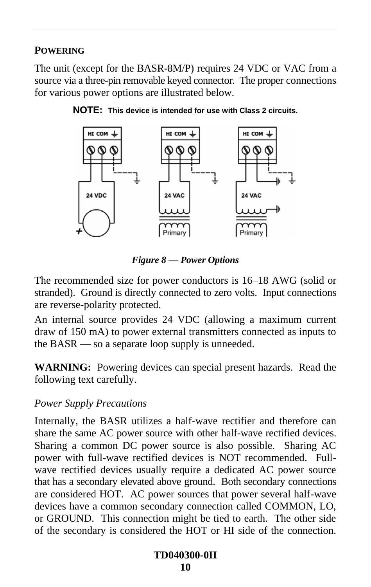### **POWERING**

The unit (except for the BASR-8M/P) requires 24 VDC or VAC from a source via a three-pin removable keyed connector. The proper connections for various power options are illustrated below.





*Figure 8 — Power Options*

The recommended size for power conductors is 16–18 AWG (solid or stranded). Ground is directly connected to zero volts. Input connections are reverse-polarity protected.

An internal source provides 24 VDC (allowing a maximum current draw of 150 mA) to power external transmitters connected as inputs to the BASR — so a separate loop supply is unneeded.

**WARNING:** Powering devices can special present hazards. Read the following text carefully.

### *Power Supply Precautions*

Internally, the BASR utilizes a half-wave rectifier and therefore can share the same AC power source with other half-wave rectified devices. Sharing a common DC power source is also possible. Sharing AC power with full-wave rectified devices is NOT recommended. Fullwave rectified devices usually require a dedicated AC power source that has a secondary elevated above ground. Both secondary connections are considered HOT. AC power sources that power several half-wave devices have a common secondary connection called COMMON, LO, or GROUND. This connection might be tied to earth. The other side of the secondary is considered the HOT or HI side of the connection.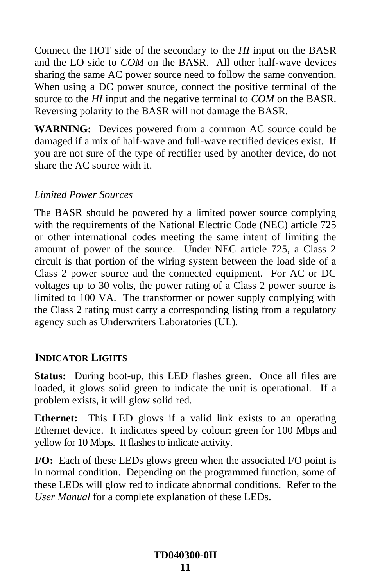Connect the HOT side of the secondary to the *HI* input on the BASR and the LO side to *COM* on the BASR. All other half-wave devices sharing the same AC power source need to follow the same convention. When using a DC power source, connect the positive terminal of the source to the *HI* input and the negative terminal to *COM* on the BASR. Reversing polarity to the BASR will not damage the BASR.

**WARNING:** Devices powered from a common AC source could be damaged if a mix of half-wave and full-wave rectified devices exist. If you are not sure of the type of rectifier used by another device, do not share the AC source with it.

### *Limited Power Sources*

The BASR should be powered by a limited power source complying with the requirements of the National Electric Code (NEC) article 725 or other international codes meeting the same intent of limiting the amount of power of the source. Under NEC article 725, a Class 2 circuit is that portion of the wiring system between the load side of a Class 2 power source and the connected equipment. For AC or DC voltages up to 30 volts, the power rating of a Class 2 power source is limited to 100 VA. The transformer or power supply complying with the Class 2 rating must carry a corresponding listing from a regulatory agency such as Underwriters Laboratories (UL).

### **INDICATOR LIGHTS**

**Status:** During boot-up, this LED flashes green. Once all files are loaded, it glows solid green to indicate the unit is operational. If a problem exists, it will glow solid red.

**Ethernet:** This LED glows if a valid link exists to an operating Ethernet device. It indicates speed by colour: green for 100 Mbps and yellow for 10 Mbps. It flashes to indicate activity.

**I/O:** Each of these LEDs glows green when the associated I/O point is in normal condition. Depending on the programmed function, some of these LEDs will glow red to indicate abnormal conditions. Refer to the *User Manual* for a complete explanation of these LEDs.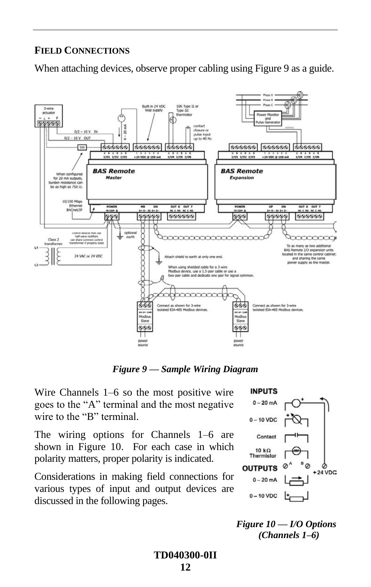### **FIELD CONNECTIONS**

When attaching devices, observe proper cabling using [Figure 9](#page-11-0) as a guide.



*Figure 9 — Sample Wiring Diagram*

<span id="page-11-0"></span>Wire Channels 1–6 so the most positive wire goes to the "A" terminal and the most negative wire to the "B" terminal.

The wiring options for Channels 1–6 are shown in [Figure 10.](#page-11-1) For each case in which polarity matters, proper polarity is indicated.

<span id="page-11-1"></span>Considerations in making field connections for various types of input and output devices are discussed in the following pages.



*Figure 10 — I/O Options (Channels 1–6)*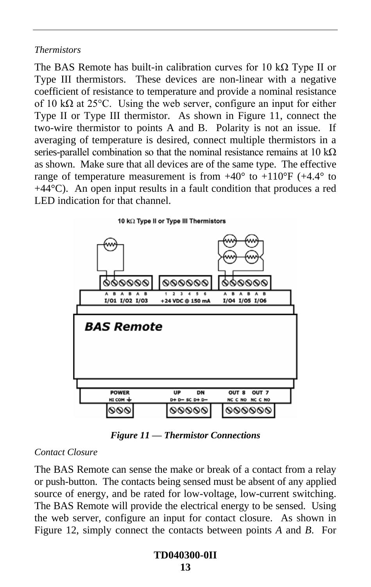#### *Thermistors*

The BAS Remote has built-in calibration curves for 10 k $\Omega$  Type II or Type III thermistors. These devices are non-linear with a negative coefficient of resistance to temperature and provide a nominal resistance of 10 k $\Omega$  at 25°C. Using the web server, configure an input for either Type II or Type III thermistor. As shown in [Figure 11,](#page-12-0) connect the two-wire thermistor to points A and B. Polarity is not an issue. If averaging of temperature is desired, connect multiple thermistors in a series-parallel combination so that the nominal resistance remains at 10 k $\Omega$ as shown. Make sure that all devices are of the same type. The effective range of temperature measurement is from  $+40^{\circ}$  to  $+110^{\circ}$ F ( $+4.4^{\circ}$  to +44°C). An open input results in a fault condition that produces a red LED indication for that channel.

10 kΩ Type II or Type III Thermistors



*Figure 11 — Thermistor Connections*

#### <span id="page-12-0"></span>*Contact Closure*

The BAS Remote can sense the make or break of a contact from a relay or push-button. The contacts being sensed must be absent of any applied source of energy, and be rated for low-voltage, low-current switching. The BAS Remote will provide the electrical energy to be sensed. Using the web server, configure an input for contact closure. As shown in [Figure 12,](#page-13-0) simply connect the contacts between points *A* and *B*. For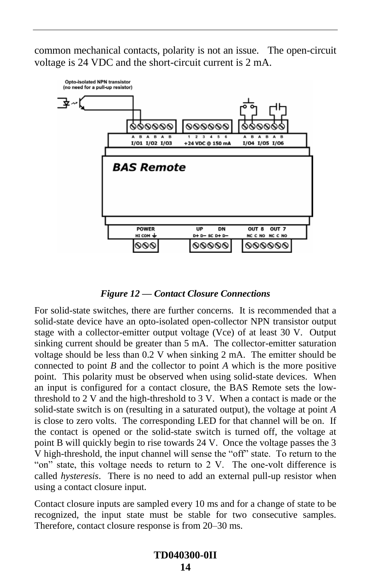common mechanical contacts, polarity is not an issue. The open-circuit voltage is 24 VDC and the short-circuit current is 2 mA.



*Figure 12 — Contact Closure Connections*

<span id="page-13-0"></span>For solid-state switches, there are further concerns. It is recommended that a solid-state device have an opto-isolated open-collector NPN transistor output stage with a collector-emitter output voltage (Vce) of at least 30 V. Output sinking current should be greater than 5 mA. The collector-emitter saturation voltage should be less than 0.2 V when sinking 2 mA. The emitter should be connected to point *B* and the collector to point *A* which is the more positive point. This polarity must be observed when using solid-state devices. When an input is configured for a contact closure, the BAS Remote sets the lowthreshold to 2 V and the high-threshold to 3 V. When a contact is made or the solid-state switch is on (resulting in a saturated output), the voltage at point *A* is close to zero volts. The corresponding LED for that channel will be on. If the contact is opened or the solid-state switch is turned off, the voltage at point B will quickly begin to rise towards 24 V. Once the voltage passes the 3 V high-threshold, the input channel will sense the "off" state. To return to the "on" state, this voltage needs to return to  $2 \text{ V}$ . The one-volt difference is called *hysteresis*. There is no need to add an external pull-up resistor when using a contact closure input.

Contact closure inputs are sampled every 10 ms and for a change of state to be recognized, the input state must be stable for two consecutive samples. Therefore, contact closure response is from 20–30 ms.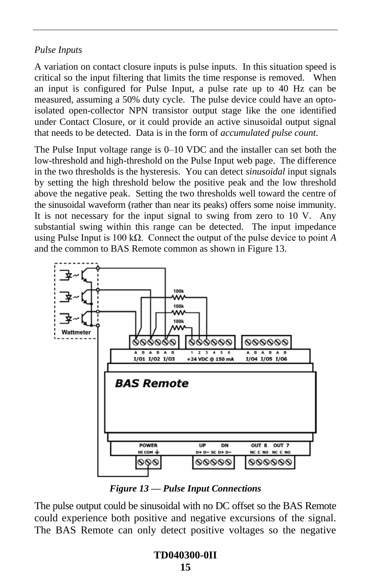### *Pulse Inputs*

A variation on contact closure inputs is pulse inputs. In this situation speed is critical so the input filtering that limits the time response is removed. When an input is configured for Pulse Input, a pulse rate up to 40 Hz can be measured, assuming a 50% duty cycle. The pulse device could have an optoisolated open-collector NPN transistor output stage like the one identified under Contact Closure, or it could provide an active sinusoidal output signal that needs to be detected. Data is in the form of *accumulated pulse count*.

The Pulse Input voltage range is 0–10 VDC and the installer can set both the low-threshold and high-threshold on the Pulse Input web page. The difference in the two thresholds is the hysteresis. You can detect *sinusoidal* input signals by setting the high threshold below the positive peak and the low threshold above the negative peak. Setting the two thresholds well toward the centre of the sinusoidal waveform (rather than near its peaks) offers some noise immunity. It is not necessary for the input signal to swing from zero to 10 V. Any substantial swing within this range can be detected. The input impedance using Pulse Input is 100 kΩ. Connect the output of the pulse device to point *A* and the common to BAS Remote common as shown in [Figure 13.](#page-14-0)



*Figure 13 — Pulse Input Connections*

<span id="page-14-0"></span>The pulse output could be sinusoidal with no DC offset so the BAS Remote could experience both positive and negative excursions of the signal. The BAS Remote can only detect positive voltages so the negative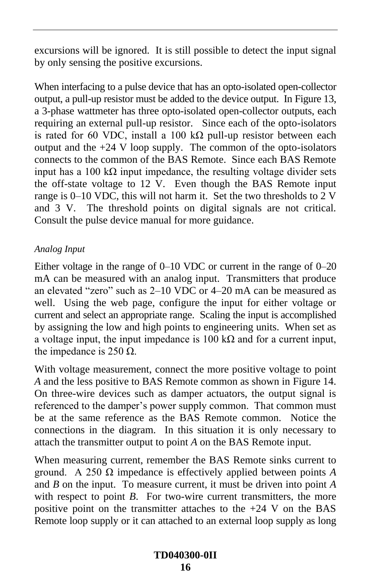excursions will be ignored. It is still possible to detect the input signal by only sensing the positive excursions.

When interfacing to a pulse device that has an opto-isolated open-collector output, a pull-up resistor must be added to the device output. I[n Figure 13,](#page-14-0) a 3-phase wattmeter has three opto-isolated open-collector outputs, each requiring an external pull-up resistor. Since each of the opto-isolators is rated for 60 VDC, install a 100 kΩ pull-up resistor between each output and the +24 V loop supply. The common of the opto-isolators connects to the common of the BAS Remote. Since each BAS Remote input has a 100 k $\Omega$  input impedance, the resulting voltage divider sets the off-state voltage to 12 V. Even though the BAS Remote input range is 0–10 VDC, this will not harm it. Set the two thresholds to 2 V and 3 V. The threshold points on digital signals are not critical. Consult the pulse device manual for more guidance.

### *Analog Input*

Either voltage in the range of 0–10 VDC or current in the range of 0–20 mA can be measured with an analog input. Transmitters that produce an elevated "zero" such as  $2-10$  VDC or  $4-20$  mA can be measured as well. Using the web page, configure the input for either voltage or current and select an appropriate range. Scaling the input is accomplished by assigning the low and high points to engineering units. When set as a voltage input, the input impedance is 100 kΩ and for a current input, the impedance is 250  $\Omega$ .

With voltage measurement, connect the more positive voltage to point *A* and the less positive to BAS Remote common as shown in [Figure 14.](#page-16-0) On three-wire devices such as damper actuators, the output signal is referenced to the damper's power supply common. That common must be at the same reference as the BAS Remote common. Notice the connections in the diagram. In this situation it is only necessary to attach the transmitter output to point *A* on the BAS Remote input.

When measuring current, remember the BAS Remote sinks current to ground. A 250 Ω impedance is effectively applied between points *A* and *B* on the input. To measure current, it must be driven into point *A* with respect to point *B*. For two-wire current transmitters, the more positive point on the transmitter attaches to the +24 V on the BAS Remote loop supply or it can attached to an external loop supply as long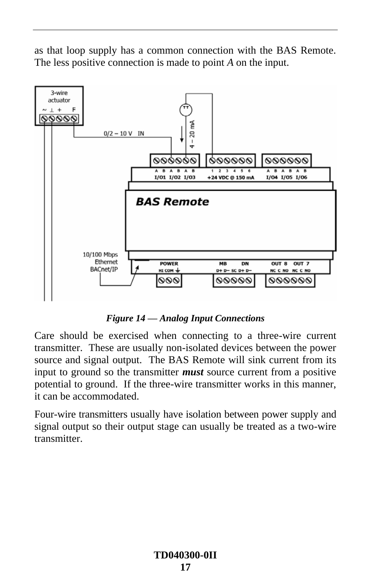as that loop supply has a common connection with the BAS Remote. The less positive connection is made to point *A* on the input.



*Figure 14 — Analog Input Connections*

<span id="page-16-0"></span>Care should be exercised when connecting to a three-wire current transmitter. These are usually non-isolated devices between the power source and signal output. The BAS Remote will sink current from its input to ground so the transmitter *must* source current from a positive potential to ground. If the three-wire transmitter works in this manner, it can be accommodated.

Four-wire transmitters usually have isolation between power supply and signal output so their output stage can usually be treated as a two-wire **transmitter**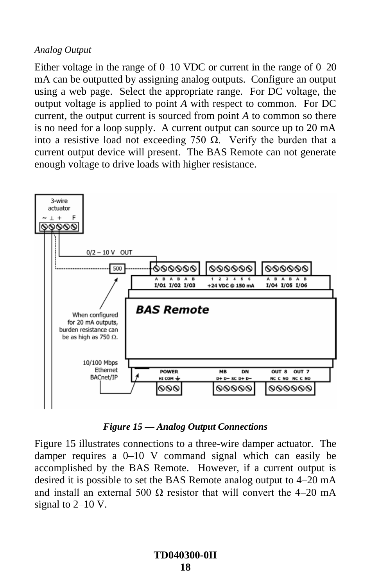#### *Analog Output*

Either voltage in the range of 0–10 VDC or current in the range of 0–20 mA can be outputted by assigning analog outputs. Configure an output using a web page. Select the appropriate range. For DC voltage, the output voltage is applied to point *A* with respect to common. For DC current, the output current is sourced from point *A* to common so there is no need for a loop supply. A current output can source up to 20 mA into a resistive load not exceeding 750  $\Omega$ . Verify the burden that a current output device will present. The BAS Remote can not generate enough voltage to drive loads with higher resistance.



*Figure 15 — Analog Output Connections*

<span id="page-17-0"></span>[Figure 15](#page-17-0) illustrates connections to a three-wire damper actuator. The damper requires a 0–10 V command signal which can easily be accomplished by the BAS Remote. However, if a current output is desired it is possible to set the BAS Remote analog output to 4–20 mA and install an external 500  $\Omega$  resistor that will convert the 4–20 mA signal to 2–10 V.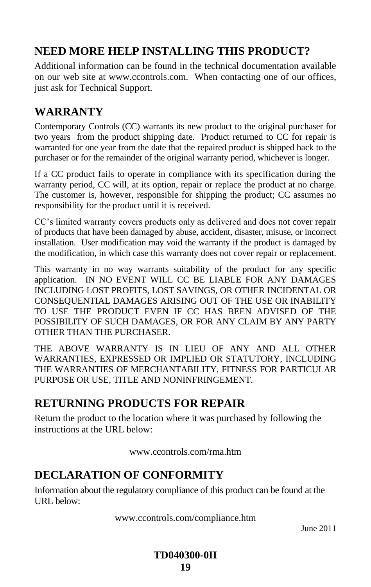## **NEED MORE HELP INSTALLING THIS PRODUCT?**

Additional information can be found in the technical documentation available on our web site at www.ccontrols.com. When contacting one of our offices, just ask for Technical Support.

## **WARRANTY**

Contemporary Controls (CC) warrants its new product to the original purchaser for two years from the product shipping date. Product returned to CC for repair is warranted for one year from the date that the repaired product is shipped back to the purchaser or for the remainder of the original warranty period, whichever is longer.

If a CC product fails to operate in compliance with its specification during the warranty period, CC will, at its option, repair or replace the product at no charge. The customer is, however, responsible for shipping the product; CC assumes no responsibility for the product until it is received.

CC's limited warranty covers products only as delivered and does not cover repair of products that have been damaged by abuse, accident, disaster, misuse, or incorrect installation. User modification may void the warranty if the product is damaged by the modification, in which case this warranty does not cover repair or replacement.

This warranty in no way warrants suitability of the product for any specific application. IN NO EVENT WILL CC BE LIABLE FOR ANY DAMAGES INCLUDING LOST PROFITS, LOST SAVINGS, OR OTHER INCIDENTAL OR CONSEQUENTIAL DAMAGES ARISING OUT OF THE USE OR INABILITY TO USE THE PRODUCT EVEN IF CC HAS BEEN ADVISED OF THE POSSIBILITY OF SUCH DAMAGES, OR FOR ANY CLAIM BY ANY PARTY OTHER THAN THE PURCHASER.

THE ABOVE WARRANTY IS IN LIEU OF ANY AND ALL OTHER WARRANTIES, EXPRESSED OR IMPLIED OR STATUTORY, INCLUDING THE WARRANTIES OF MERCHANTABILITY, FITNESS FOR PARTICULAR PURPOSE OR USE, TITLE AND NONINFRINGEMENT.

## **RETURNING PRODUCTS FOR REPAIR**

Return the product to the location where it was purchased by following the instructions at the URL below:

www.ccontrols.com/rma.htm

## **DECLARATION OF CONFORMITY**

Information about the regulatory compliance of this product can be found at the URL below:

www.ccontrols.com/compliance.htm

June 2011